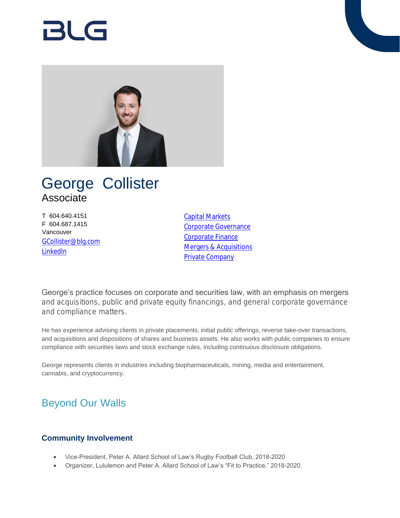

# George Collister Associate

T 604.640.4151 F 604.687.1415 Vancouver [GCollister@blg.com](mailto:GCollister@blg.com) [LinkedIn](https://www.linkedin.com/in/george-collister-96479663/)

[Capital Markets](https://www.blg.com/en/services/practice-areas/capital-markets) [Corporate Governance](https://www.blg.com/en/services/practice-areas/corporate-commercial/corporate-governance) [Corporate Finance](https://www.blg.com/en/services/practice-areas/capital-markets/corporate-finance) **[Mergers & Acquisitions](https://www.blg.com/en/services/practice-areas/mergers-,-a-,-acquisitions)** [Private Company](https://www.blg.com/en/services/practice-areas/corporate-commercial/private-company)

George's practice focuses on corporate and securities law, with an emphasis on mergers and acquisitions, public and private equity financings, and general corporate governance and compliance matters.

He has experience advising clients in private placements, initial public offerings, reverse take-over transactions, and acquisitions and dispositions of shares and business assets. He also works with public companies to ensure compliance with securities laws and stock exchange rules, including continuous disclosure obligations.

George represents clients in industries including biopharmaceuticals, mining, media and entertainment, cannabis, and cryptocurrency.

## Beyond Our Walls

### **Community Involvement**

- Vice-President, Peter A. Allard School of Law's Rugby Football Club, 2018-2020
- Organizer, Lululemon and Peter A. Allard School of Law's "Fit to Practice," 2018-2020.